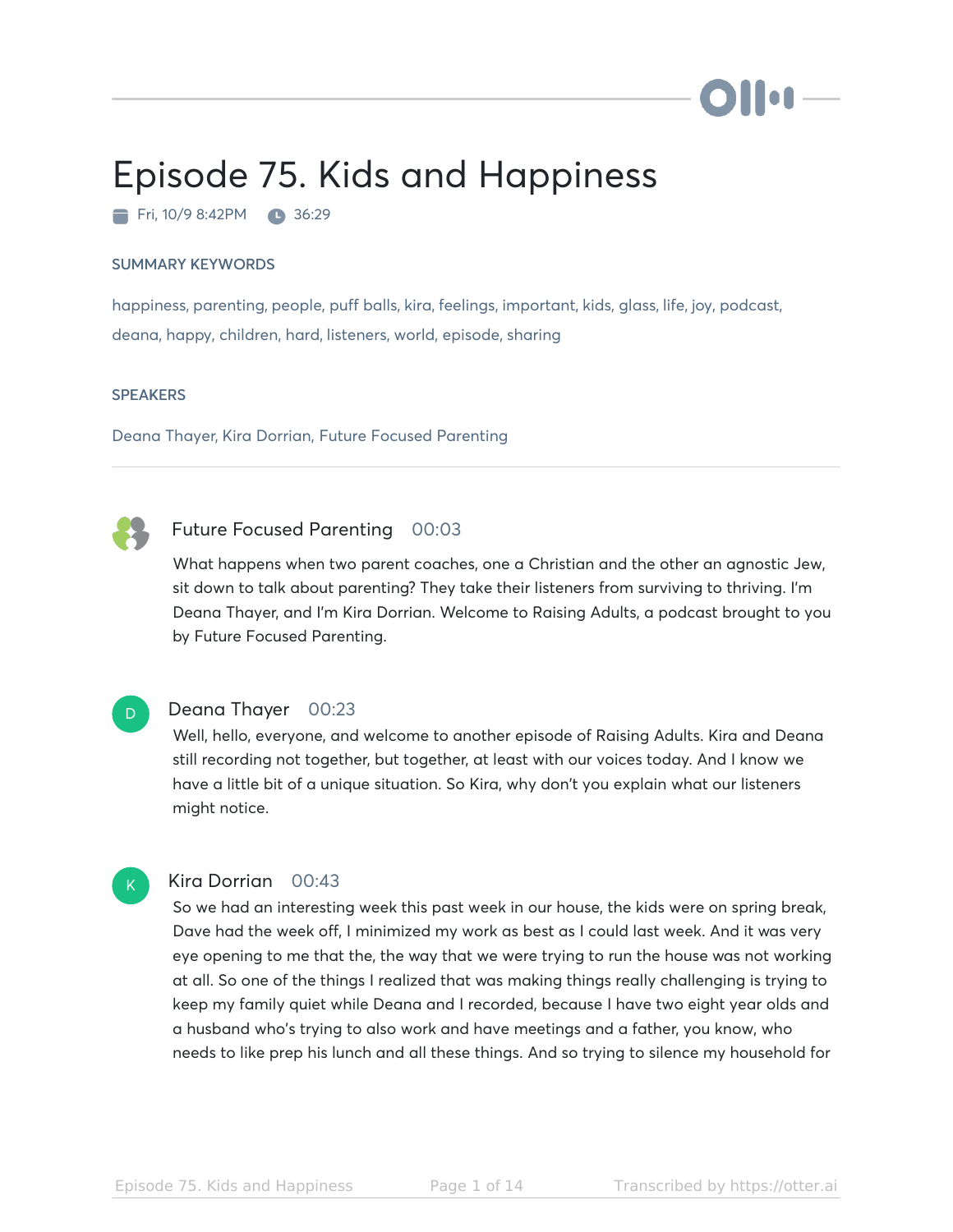# Episode 75. Kids and Happiness

Fri, 10/9 8:42PM 36:29

#### SUMMARY KEYWORDS

happiness, parenting, people, puff balls, kira, feelings, important, kids, glass, life, joy, podcast, deana, happy, children, hard, listeners, world, episode, sharing

#### **SPEAKERS**

 $\overline{D}$ 

 $\mathsf{K}_{\scriptscriptstyle{+}}$ 

Deana Thayer, Kira Dorrian, Future Focused Parenting

### Future Focused Parenting 00:03

What happens when two parent coaches, one a Christian and the other an agnostic Jew, sit down to talk about parenting? They take their listeners from surviving to thriving. I'm Deana Thayer, and I'm Kira Dorrian. Welcome to Raising Adults, a podcast brought to you by Future Focused Parenting.

#### Deana Thayer 00:23

Well, hello, everyone, and welcome to another episode of Raising Adults. Kira and Deana still recording not together, but together, at least with our voices today. And I know we have a little bit of a unique situation. So Kira, why don't you explain what our listeners might notice.

#### Kira Dorrian 00:43

So we had an interesting week this past week in our house, the kids were on spring break, Dave had the week off, I minimized my work as best as I could last week. And it was very eye opening to me that the, the way that we were trying to run the house was not working at all. So one of the things I realized that was making things really challenging is trying to keep my family quiet while Deana and I recorded, because I have two eight year olds and a husband who's trying to also work and have meetings and a father, you know, who needs to like prep his lunch and all these things. And so trying to silence my household for

**To A**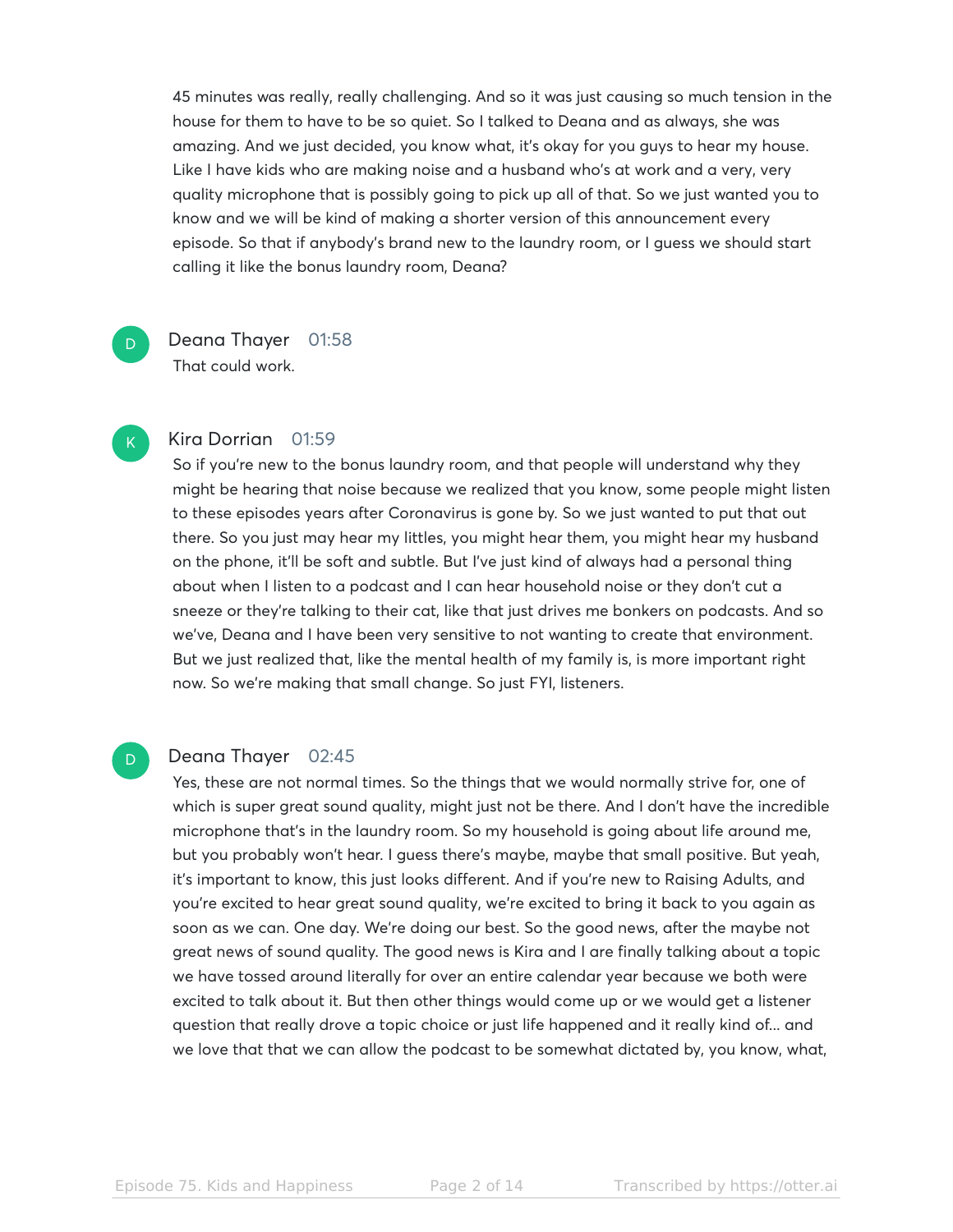45 minutes was really, really challenging. And so it was just causing so much tension in the house for them to have to be so quiet. So I talked to Deana and as always, she was amazing. And we just decided, you know what, it's okay for you guys to hear my house. Like I have kids who are making noise and a husband who's at work and a very, very quality microphone that is possibly going to pick up all of that. So we just wanted you to know and we will be kind of making a shorter version of this announcement every episode. So that if anybody's brand new to the laundry room, or I guess we should start calling it like the bonus laundry room, Deana?

Deana Thayer 01:58 That could work.

#### Kira Dorrian 01:59

So if you're new to the bonus laundry room, and that people will understand why they might be hearing that noise because we realized that you know, some people might listen to these episodes years after Coronavirus is gone by. So we just wanted to put that out there. So you just may hear my littles, you might hear them, you might hear my husband on the phone, it'll be soft and subtle. But I've just kind of always had a personal thing about when I listen to a podcast and I can hear household noise or they don't cut a sneeze or they're talking to their cat, like that just drives me bonkers on podcasts. And so we've, Deana and I have been very sensitive to not wanting to create that environment. But we just realized that, like the mental health of my family is, is more important right now. So we're making that small change. So just FYI, listeners.

#### D

D

 $\mathsf{K}_{\scriptscriptstyle{+}}$ 

#### Deana Thayer 02:45

Yes, these are not normal times. So the things that we would normally strive for, one of which is super great sound quality, might just not be there. And I don't have the incredible microphone that's in the laundry room. So my household is going about life around me, but you probably won't hear. I guess there's maybe, maybe that small positive. But yeah, it's important to know, this just looks different. And if you're new to Raising Adults, and you're excited to hear great sound quality, we're excited to bring it back to you again as soon as we can. One day. We're doing our best. So the good news, after the maybe not great news of sound quality. The good news is Kira and I are finally talking about a topic we have tossed around literally for over an entire calendar year because we both were excited to talk about it. But then other things would come up or we would get a listener question that really drove a topic choice or just life happened and it really kind of... and we love that that we can allow the podcast to be somewhat dictated by, you know, what,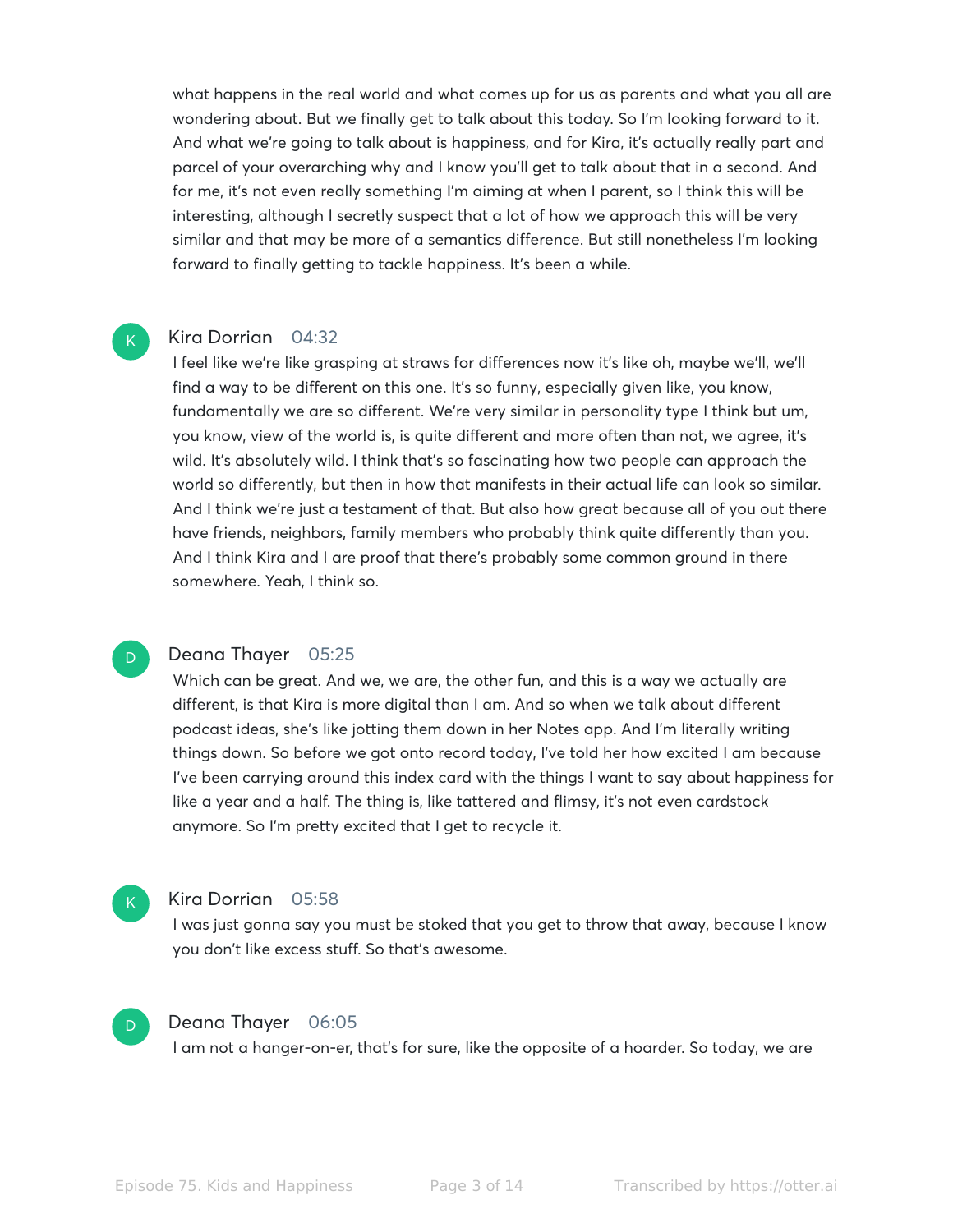what happens in the real world and what comes up for us as parents and what you all are wondering about. But we finally get to talk about this today. So I'm looking forward to it. And what we're going to talk about is happiness, and for Kira, it's actually really part and parcel of your overarching why and I know you'll get to talk about that in a second. And for me, it's not even really something I'm aiming at when I parent, so I think this will be interesting, although I secretly suspect that a lot of how we approach this will be very similar and that may be more of a semantics difference. But still nonetheless I'm looking forward to finally getting to tackle happiness. It's been a while.

#### Kira Dorrian 04:32

 $\mathsf{K}_{\scriptscriptstyle{+}}$ 

D

I feel like we're like grasping at straws for differences now it's like oh, maybe we'll, we'll find a way to be different on this one. It's so funny, especially given like, you know, fundamentally we are so different. We're very similar in personality type I think but um, you know, view of the world is, is quite different and more often than not, we agree, it's wild. It's absolutely wild. I think that's so fascinating how two people can approach the world so differently, but then in how that manifests in their actual life can look so similar. And I think we're just a testament of that. But also how great because all of you out there have friends, neighbors, family members who probably think quite differently than you. And I think Kira and I are proof that there's probably some common ground in there somewhere. Yeah, I think so.

#### Deana Thayer 05:25

Which can be great. And we, we are, the other fun, and this is a way we actually are different, is that Kira is more digital than I am. And so when we talk about different podcast ideas, she's like jotting them down in her Notes app. And I'm literally writing things down. So before we got onto record today, I've told her how excited I am because I've been carrying around this index card with the things I want to say about happiness for like a year and a half. The thing is, like tattered and flimsy, it's not even cardstock anymore. So I'm pretty excited that I get to recycle it.

#### $\mathsf{K}_{\scriptscriptstyle{+}}$

#### Kira Dorrian 05:58

I was just gonna say you must be stoked that you get to throw that away, because I know you don't like excess stuff. So that's awesome.



#### Deana Thayer 06:05

I am not a hanger-on-er, that's for sure, like the opposite of a hoarder. So today, we are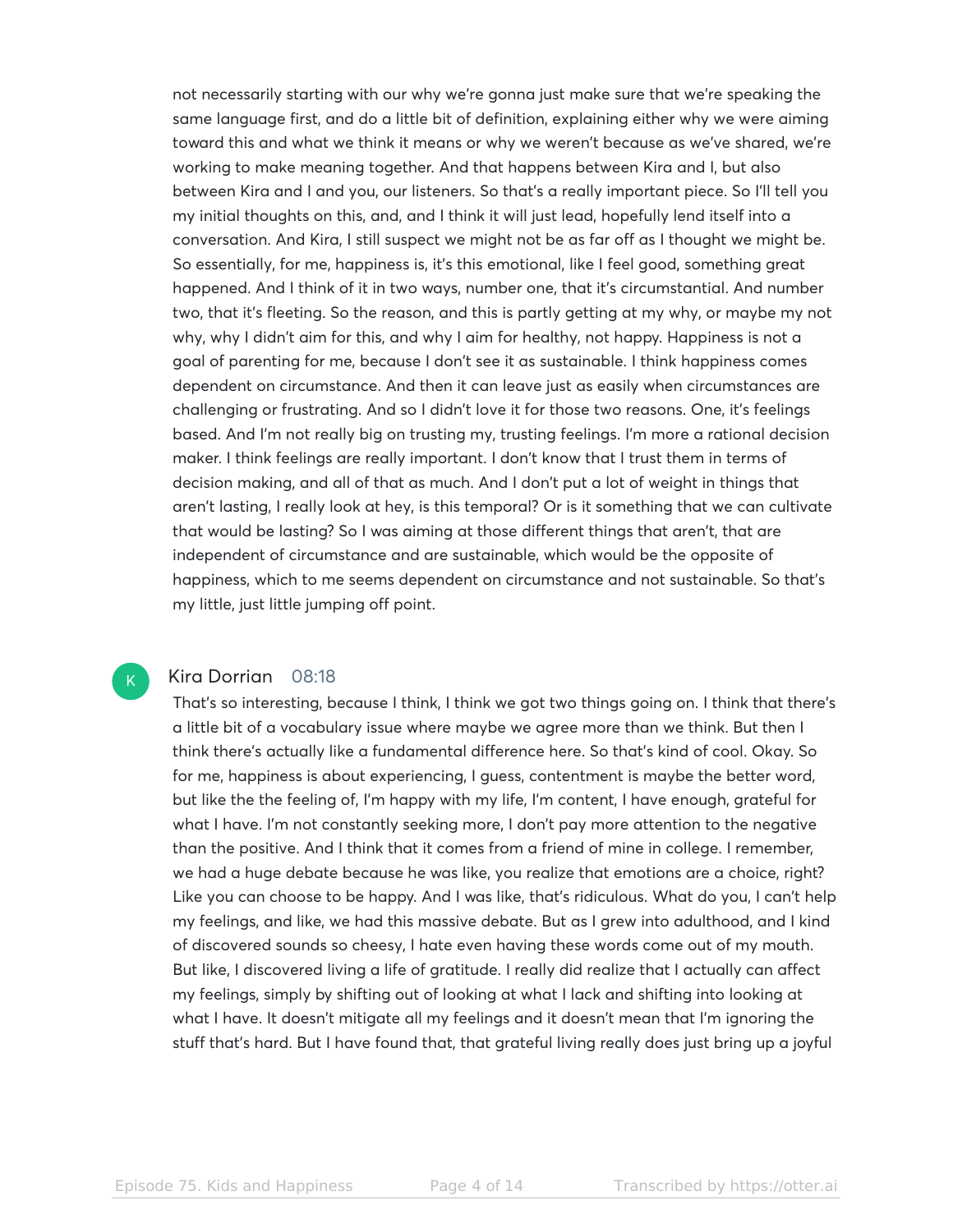not necessarily starting with our why we're gonna just make sure that we're speaking the same language first, and do a little bit of definition, explaining either why we were aiming toward this and what we think it means or why we weren't because as we've shared, we're working to make meaning together. And that happens between Kira and I, but also between Kira and I and you, our listeners. So that's a really important piece. So I'll tell you my initial thoughts on this, and, and I think it will just lead, hopefully lend itself into a conversation. And Kira, I still suspect we might not be as far off as I thought we might be. So essentially, for me, happiness is, it's this emotional, like I feel good, something great happened. And I think of it in two ways, number one, that it's circumstantial. And number two, that it's fleeting. So the reason, and this is partly getting at my why, or maybe my not why, why I didn't aim for this, and why I aim for healthy, not happy. Happiness is not a goal of parenting for me, because I don't see it as sustainable. I think happiness comes dependent on circumstance. And then it can leave just as easily when circumstances are challenging or frustrating. And so I didn't love it for those two reasons. One, it's feelings based. And I'm not really big on trusting my, trusting feelings. I'm more a rational decision maker. I think feelings are really important. I don't know that I trust them in terms of decision making, and all of that as much. And I don't put a lot of weight in things that aren't lasting, I really look at hey, is this temporal? Or is it something that we can cultivate that would be lasting? So I was aiming at those different things that aren't, that are independent of circumstance and are sustainable, which would be the opposite of happiness, which to me seems dependent on circumstance and not sustainable. So that's my little, just little jumping off point.

#### Kira Dorrian 08:18

 $\mathsf{K}_{\scriptscriptstyle{+}}$ 

That's so interesting, because I think, I think we got two things going on. I think that there's a little bit of a vocabulary issue where maybe we agree more than we think. But then I think there's actually like a fundamental difference here. So that's kind of cool. Okay. So for me, happiness is about experiencing, I guess, contentment is maybe the better word, but like the the feeling of, I'm happy with my life, I'm content, I have enough, grateful for what I have. I'm not constantly seeking more, I don't pay more attention to the negative than the positive. And I think that it comes from a friend of mine in college. I remember, we had a huge debate because he was like, you realize that emotions are a choice, right? Like you can choose to be happy. And I was like, that's ridiculous. What do you, I can't help my feelings, and like, we had this massive debate. But as I grew into adulthood, and I kind of discovered sounds so cheesy, I hate even having these words come out of my mouth. But like, I discovered living a life of gratitude. I really did realize that I actually can affect my feelings, simply by shifting out of looking at what I lack and shifting into looking at what I have. It doesn't mitigate all my feelings and it doesn't mean that I'm ignoring the stuff that's hard. But I have found that, that grateful living really does just bring up a joyful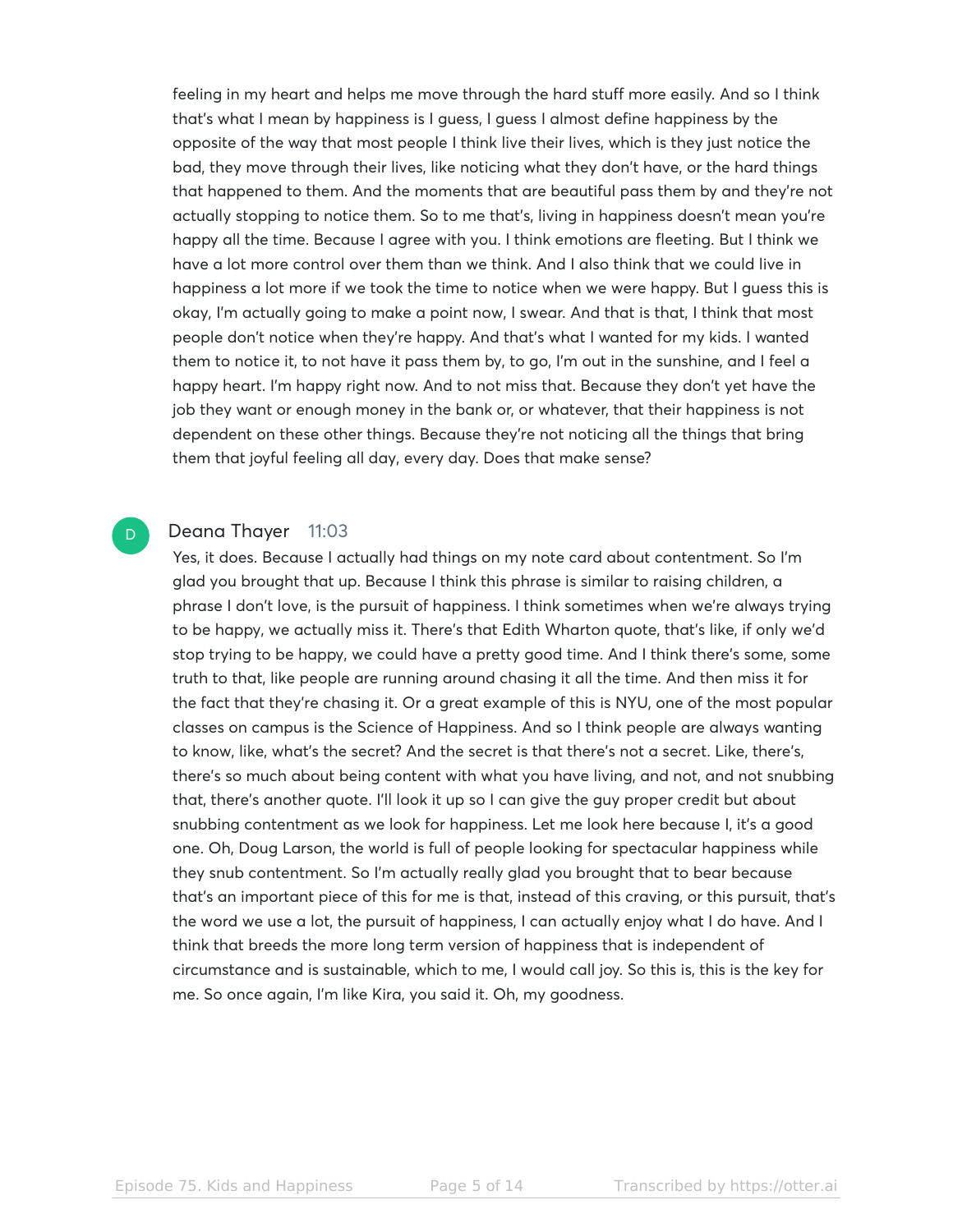feeling in my heart and helps me move through the hard stuff more easily. And so I think that's what I mean by happiness is I guess, I guess I almost define happiness by the opposite of the way that most people I think live their lives, which is they just notice the bad, they move through their lives, like noticing what they don't have, or the hard things that happened to them. And the moments that are beautiful pass them by and they're not actually stopping to notice them. So to me that's, living in happiness doesn't mean you're happy all the time. Because I agree with you. I think emotions are fleeting. But I think we have a lot more control over them than we think. And I also think that we could live in happiness a lot more if we took the time to notice when we were happy. But I guess this is okay, I'm actually going to make a point now, I swear. And that is that, I think that most people don't notice when they're happy. And that's what I wanted for my kids. I wanted them to notice it, to not have it pass them by, to go, I'm out in the sunshine, and I feel a happy heart. I'm happy right now. And to not miss that. Because they don't yet have the job they want or enough money in the bank or, or whatever, that their happiness is not dependent on these other things. Because they're not noticing all the things that bring them that joyful feeling all day, every day. Does that make sense?

#### Deana Thayer 11:03

D.

Yes, it does. Because I actually had things on my note card about contentment. So I'm glad you brought that up. Because I think this phrase is similar to raising children, a phrase I don't love, is the pursuit of happiness. I think sometimes when we're always trying to be happy, we actually miss it. There's that Edith Wharton quote, that's like, if only we'd stop trying to be happy, we could have a pretty good time. And I think there's some, some truth to that, like people are running around chasing it all the time. And then miss it for the fact that they're chasing it. Or a great example of this is NYU, one of the most popular classes on campus is the Science of Happiness. And so I think people are always wanting to know, like, what's the secret? And the secret is that there's not a secret. Like, there's, there's so much about being content with what you have living, and not, and not snubbing that, there's another quote. I'll look it up so I can give the guy proper credit but about snubbing contentment as we look for happiness. Let me look here because I, it's a good one. Oh, Doug Larson, the world is full of people looking for spectacular happiness while they snub contentment. So I'm actually really glad you brought that to bear because that's an important piece of this for me is that, instead of this craving, or this pursuit, that's the word we use a lot, the pursuit of happiness, I can actually enjoy what I do have. And I think that breeds the more long term version of happiness that is independent of circumstance and is sustainable, which to me, I would call joy. So this is, this is the key for me. So once again, I'm like Kira, you said it. Oh, my goodness.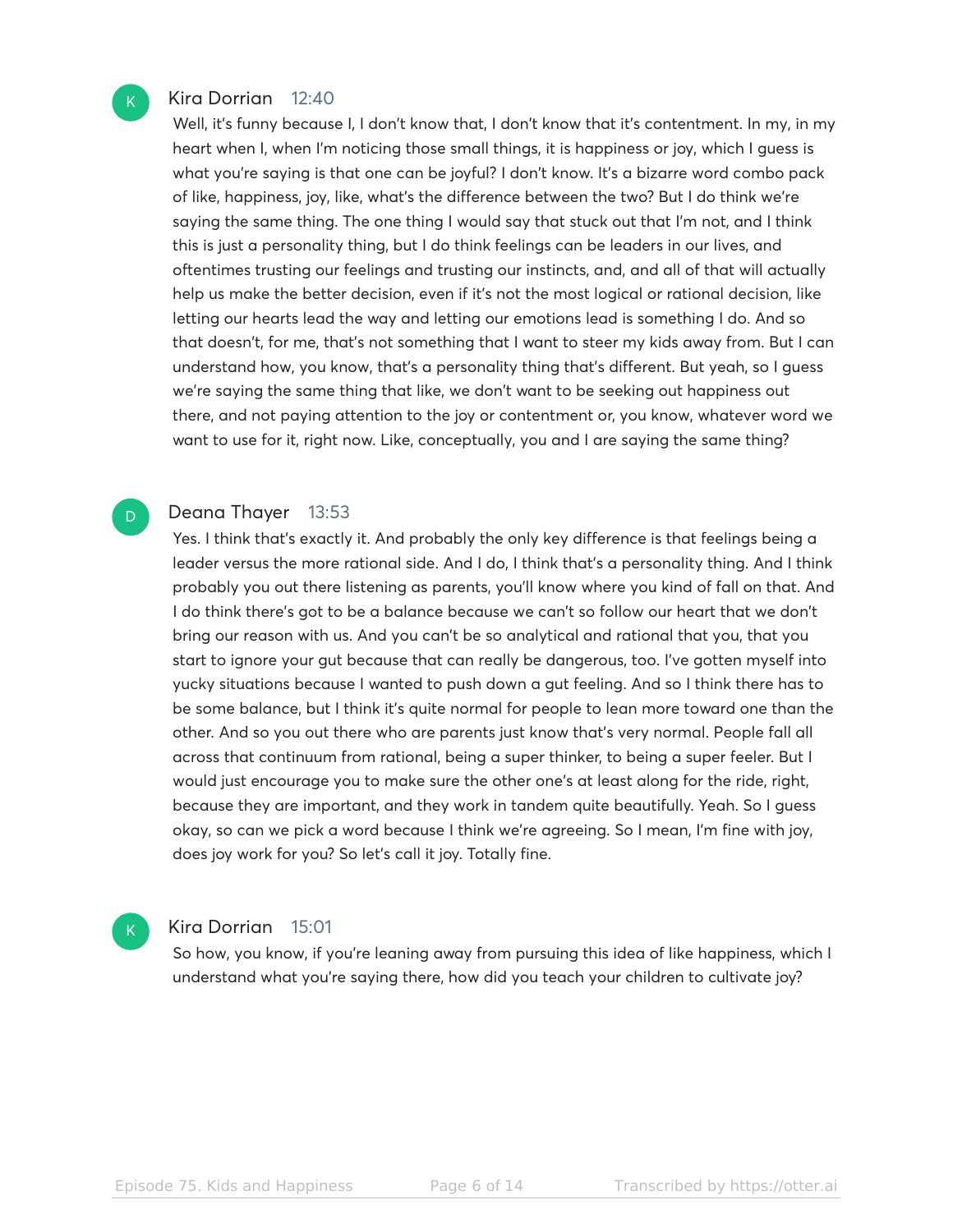#### Kira Dorrian 12:40

 $\mathsf{K}_{\scriptscriptstyle{+}}$ 

D

 $\mathbf{K}$ 

Well, it's funny because I, I don't know that, I don't know that it's contentment. In my, in my heart when I, when I'm noticing those small things, it is happiness or joy, which I guess is what you're saying is that one can be joyful? I don't know. It's a bizarre word combo pack of like, happiness, joy, like, what's the difference between the two? But I do think we're saying the same thing. The one thing I would say that stuck out that I'm not, and I think this is just a personality thing, but I do think feelings can be leaders in our lives, and oftentimes trusting our feelings and trusting our instincts, and, and all of that will actually help us make the better decision, even if it's not the most logical or rational decision, like letting our hearts lead the way and letting our emotions lead is something I do. And so that doesn't, for me, that's not something that I want to steer my kids away from. But I can understand how, you know, that's a personality thing that's different. But yeah, so I guess we're saying the same thing that like, we don't want to be seeking out happiness out there, and not paying attention to the joy or contentment or, you know, whatever word we want to use for it, right now. Like, conceptually, you and I are saying the same thing?

#### Deana Thayer 13:53

Yes. I think that's exactly it. And probably the only key difference is that feelings being a leader versus the more rational side. And I do, I think that's a personality thing. And I think probably you out there listening as parents, you'll know where you kind of fall on that. And I do think there's got to be a balance because we can't so follow our heart that we don't bring our reason with us. And you can't be so analytical and rational that you, that you start to ignore your gut because that can really be dangerous, too. I've gotten myself into yucky situations because I wanted to push down a gut feeling. And so I think there has to be some balance, but I think it's quite normal for people to lean more toward one than the other. And so you out there who are parents just know that's very normal. People fall all across that continuum from rational, being a super thinker, to being a super feeler. But I would just encourage you to make sure the other one's at least along for the ride, right, because they are important, and they work in tandem quite beautifully. Yeah. So I guess okay, so can we pick a word because I think we're agreeing. So I mean, I'm fine with joy, does joy work for you? So let's call it joy. Totally fine.

#### Kira Dorrian 15:01

So how, you know, if you're leaning away from pursuing this idea of like happiness, which I understand what you're saying there, how did you teach your children to cultivate joy?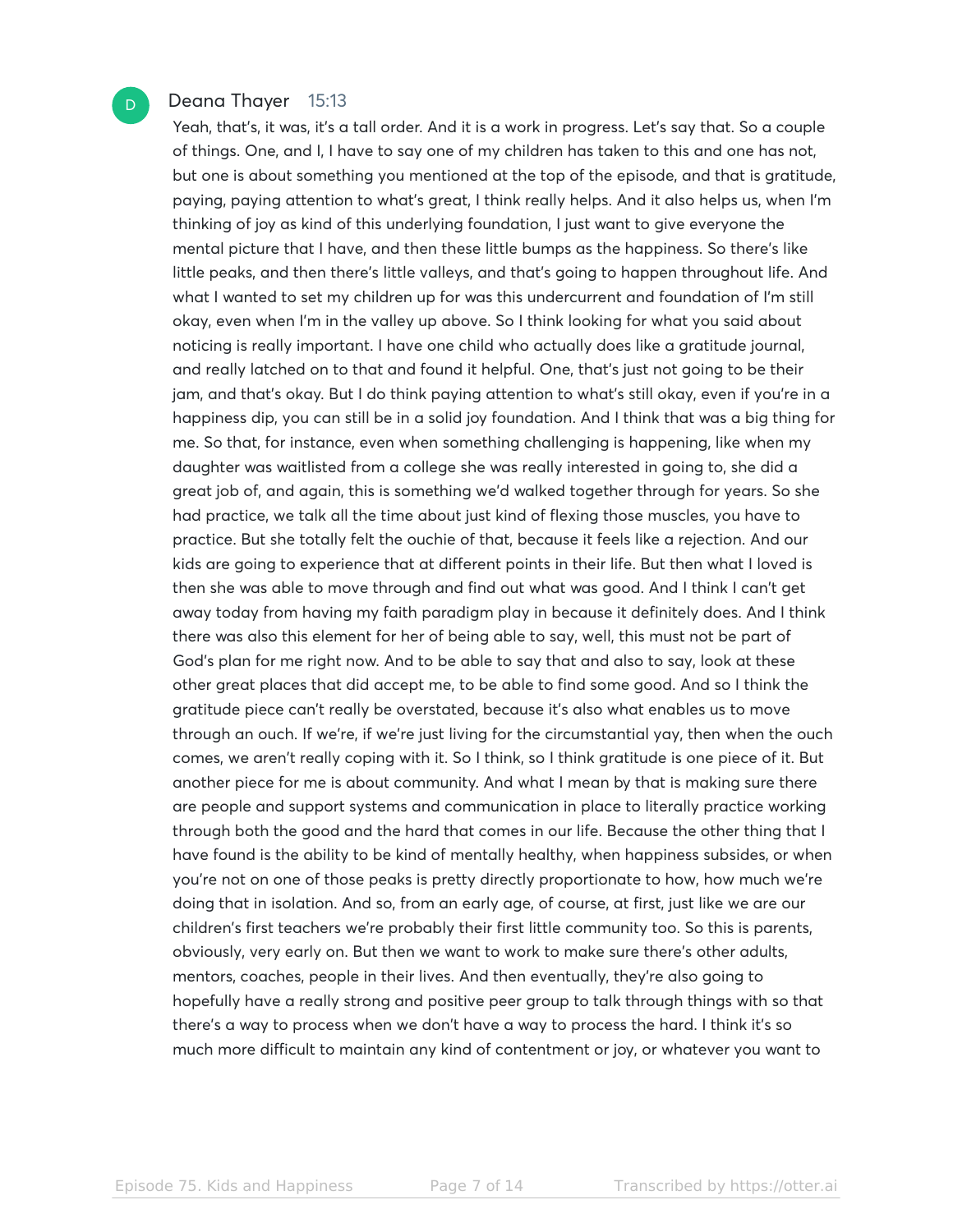#### Deana Thayer 15:13

Yeah, that's, it was, it's a tall order. And it is a work in progress. Let's say that. So a couple of things. One, and I, I have to say one of my children has taken to this and one has not, but one is about something you mentioned at the top of the episode, and that is gratitude, paying, paying attention to what's great, I think really helps. And it also helps us, when I'm thinking of joy as kind of this underlying foundation, I just want to give everyone the mental picture that I have, and then these little bumps as the happiness. So there's like little peaks, and then there's little valleys, and that's going to happen throughout life. And what I wanted to set my children up for was this undercurrent and foundation of I'm still okay, even when I'm in the valley up above. So I think looking for what you said about noticing is really important. I have one child who actually does like a gratitude journal, and really latched on to that and found it helpful. One, that's just not going to be their jam, and that's okay. But I do think paying attention to what's still okay, even if you're in a happiness dip, you can still be in a solid joy foundation. And I think that was a big thing for me. So that, for instance, even when something challenging is happening, like when my daughter was waitlisted from a college she was really interested in going to, she did a great job of, and again, this is something we'd walked together through for years. So she had practice, we talk all the time about just kind of flexing those muscles, you have to practice. But she totally felt the ouchie of that, because it feels like a rejection. And our kids are going to experience that at different points in their life. But then what I loved is then she was able to move through and find out what was good. And I think I can't get away today from having my faith paradigm play in because it definitely does. And I think there was also this element for her of being able to say, well, this must not be part of God's plan for me right now. And to be able to say that and also to say, look at these other great places that did accept me, to be able to find some good. And so I think the gratitude piece can't really be overstated, because it's also what enables us to move through an ouch. If we're, if we're just living for the circumstantial yay, then when the ouch comes, we aren't really coping with it. So I think, so I think gratitude is one piece of it. But another piece for me is about community. And what I mean by that is making sure there are people and support systems and communication in place to literally practice working through both the good and the hard that comes in our life. Because the other thing that I have found is the ability to be kind of mentally healthy, when happiness subsides, or when you're not on one of those peaks is pretty directly proportionate to how, how much we're doing that in isolation. And so, from an early age, of course, at first, just like we are our children's first teachers we're probably their first little community too. So this is parents, obviously, very early on. But then we want to work to make sure there's other adults, mentors, coaches, people in their lives. And then eventually, they're also going to hopefully have a really strong and positive peer group to talk through things with so that there's a way to process when we don't have a way to process the hard. I think it's so much more difficult to maintain any kind of contentment or joy, or whatever you want to

D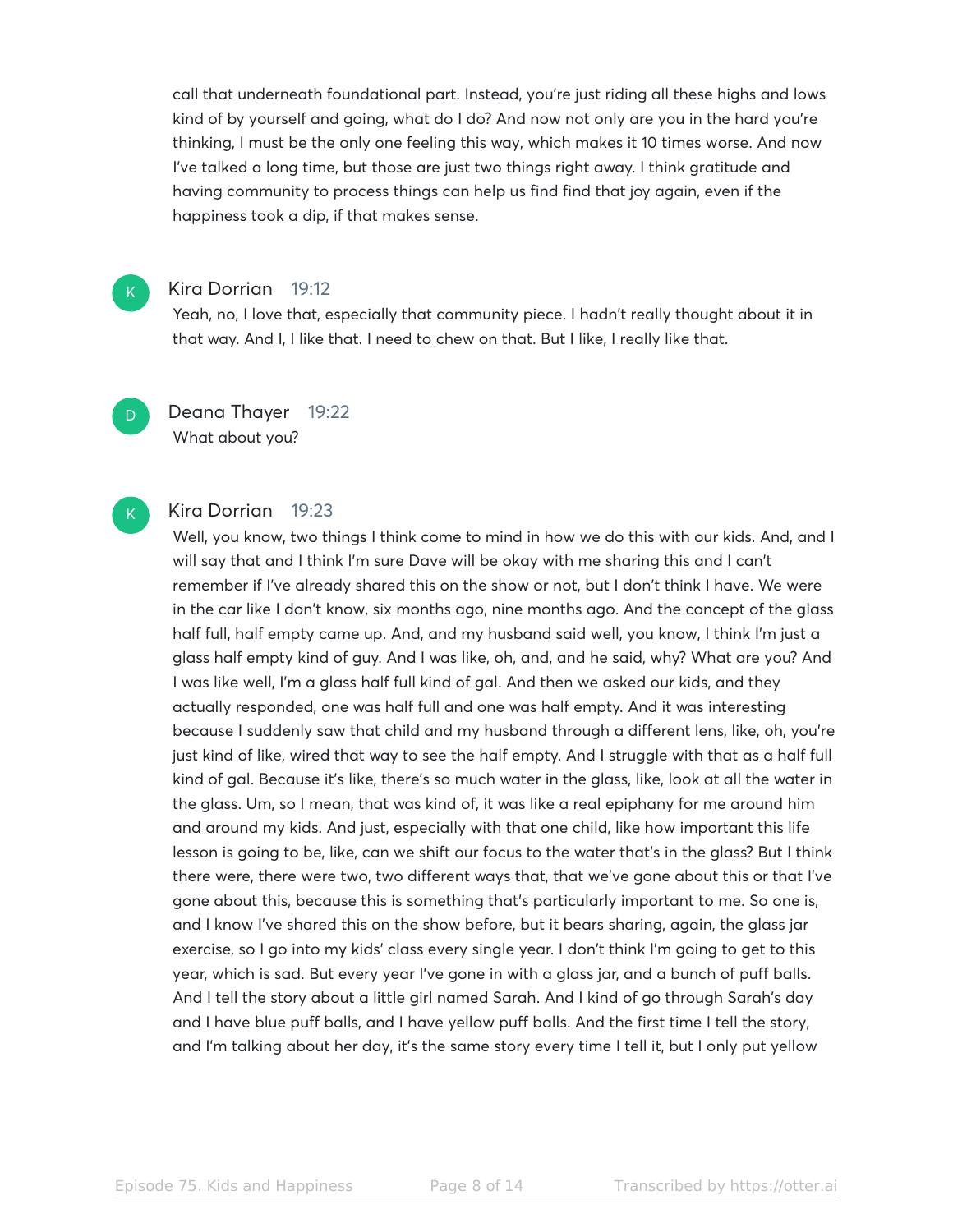call that underneath foundational part. Instead, you're just riding all these highs and lows kind of by yourself and going, what do I do? And now not only are you in the hard you're thinking, I must be the only one feeling this way, which makes it 10 times worse. And now I've talked a long time, but those are just two things right away. I think gratitude and having community to process things can help us find find that joy again, even if the happiness took a dip, if that makes sense.

#### Kira Dorrian 19:12

 $K$ 

D

K

Yeah, no, I love that, especially that community piece. I hadn't really thought about it in that way. And I, I like that. I need to chew on that. But I like, I really like that.

Deana Thayer 19:22 What about you?

#### Kira Dorrian 19:23

Well, you know, two things I think come to mind in how we do this with our kids. And, and I will say that and I think I'm sure Dave will be okay with me sharing this and I can't remember if I've already shared this on the show or not, but I don't think I have. We were in the car like I don't know, six months ago, nine months ago. And the concept of the glass half full, half empty came up. And, and my husband said well, you know, I think I'm just a glass half empty kind of guy. And I was like, oh, and, and he said, why? What are you? And I was like well, I'm a glass half full kind of gal. And then we asked our kids, and they actually responded, one was half full and one was half empty. And it was interesting because I suddenly saw that child and my husband through a different lens, like, oh, you're just kind of like, wired that way to see the half empty. And I struggle with that as a half full kind of gal. Because it's like, there's so much water in the glass, like, look at all the water in the glass. Um, so I mean, that was kind of, it was like a real epiphany for me around him and around my kids. And just, especially with that one child, like how important this life lesson is going to be, like, can we shift our focus to the water that's in the glass? But I think there were, there were two, two different ways that, that we've gone about this or that I've gone about this, because this is something that's particularly important to me. So one is, and I know I've shared this on the show before, but it bears sharing, again, the glass jar exercise, so I go into my kids' class every single year. I don't think I'm going to get to this year, which is sad. But every year I've gone in with a glass jar, and a bunch of puff balls. And I tell the story about a little girl named Sarah. And I kind of go through Sarah's day and I have blue puff balls, and I have yellow puff balls. And the first time I tell the story, and I'm talking about her day, it's the same story every time I tell it, but I only put yellow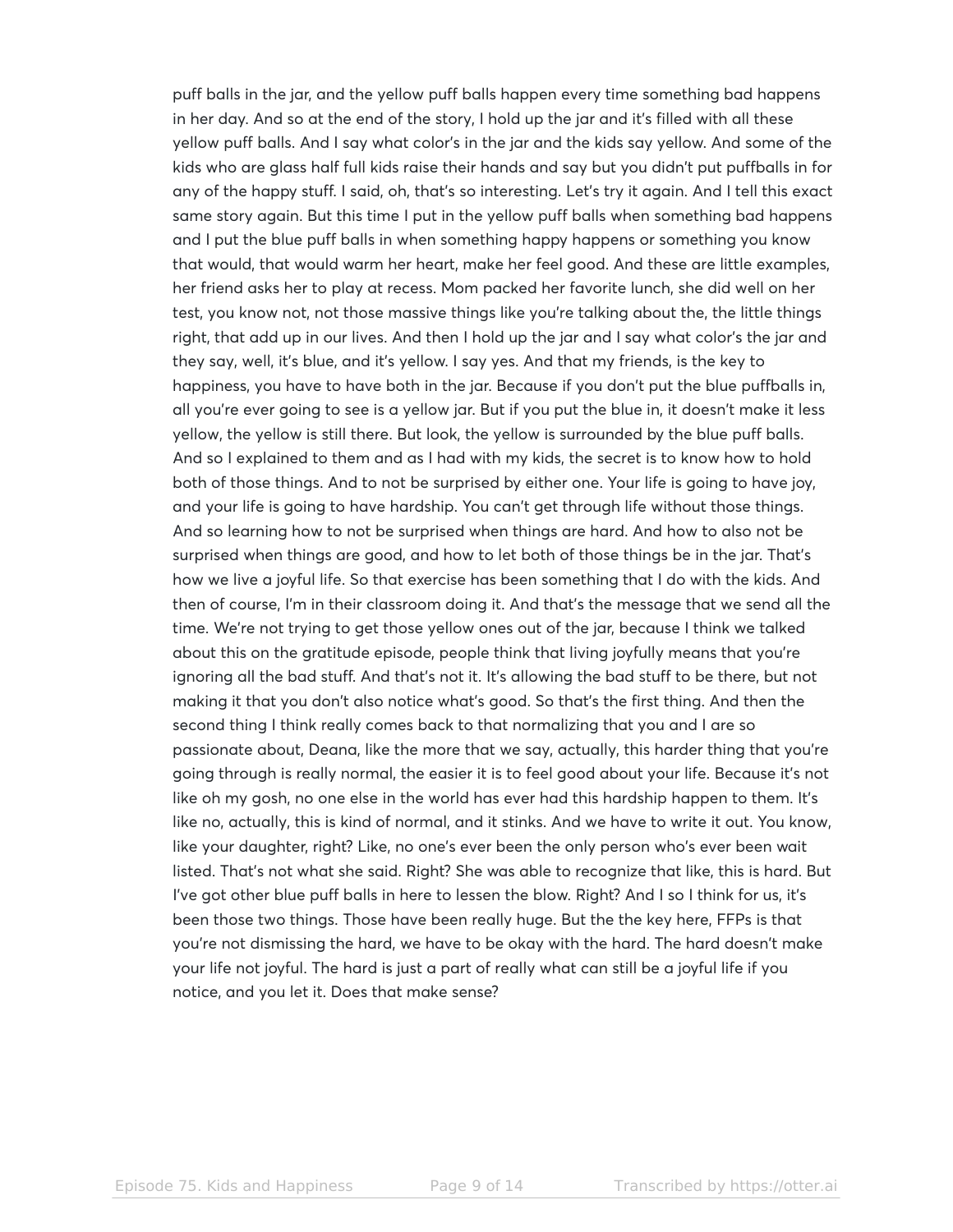puff balls in the jar, and the yellow puff balls happen every time something bad happens in her day. And so at the end of the story, I hold up the jar and it's filled with all these yellow puff balls. And I say what color's in the jar and the kids say yellow. And some of the kids who are glass half full kids raise their hands and say but you didn't put puffballs in for any of the happy stuff. I said, oh, that's so interesting. Let's try it again. And I tell this exact same story again. But this time I put in the yellow puff balls when something bad happens and I put the blue puff balls in when something happy happens or something you know that would, that would warm her heart, make her feel good. And these are little examples, her friend asks her to play at recess. Mom packed her favorite lunch, she did well on her test, you know not, not those massive things like you're talking about the, the little things right, that add up in our lives. And then I hold up the jar and I say what color's the jar and they say, well, it's blue, and it's yellow. I say yes. And that my friends, is the key to happiness, you have to have both in the jar. Because if you don't put the blue puffballs in, all you're ever going to see is a yellow jar. But if you put the blue in, it doesn't make it less yellow, the yellow is still there. But look, the yellow is surrounded by the blue puff balls. And so I explained to them and as I had with my kids, the secret is to know how to hold both of those things. And to not be surprised by either one. Your life is going to have joy, and your life is going to have hardship. You can't get through life without those things. And so learning how to not be surprised when things are hard. And how to also not be surprised when things are good, and how to let both of those things be in the jar. That's how we live a joyful life. So that exercise has been something that I do with the kids. And then of course, I'm in their classroom doing it. And that's the message that we send all the time. We're not trying to get those yellow ones out of the jar, because I think we talked about this on the gratitude episode, people think that living joyfully means that you're ignoring all the bad stuff. And that's not it. It's allowing the bad stuff to be there, but not making it that you don't also notice what's good. So that's the first thing. And then the second thing I think really comes back to that normalizing that you and I are so passionate about, Deana, like the more that we say, actually, this harder thing that you're going through is really normal, the easier it is to feel good about your life. Because it's not like oh my gosh, no one else in the world has ever had this hardship happen to them. It's like no, actually, this is kind of normal, and it stinks. And we have to write it out. You know, like your daughter, right? Like, no one's ever been the only person who's ever been wait listed. That's not what she said. Right? She was able to recognize that like, this is hard. But I've got other blue puff balls in here to lessen the blow. Right? And I so I think for us, it's been those two things. Those have been really huge. But the the key here, FFPs is that you're not dismissing the hard, we have to be okay with the hard. The hard doesn't make your life not joyful. The hard is just a part of really what can still be a joyful life if you notice, and you let it. Does that make sense?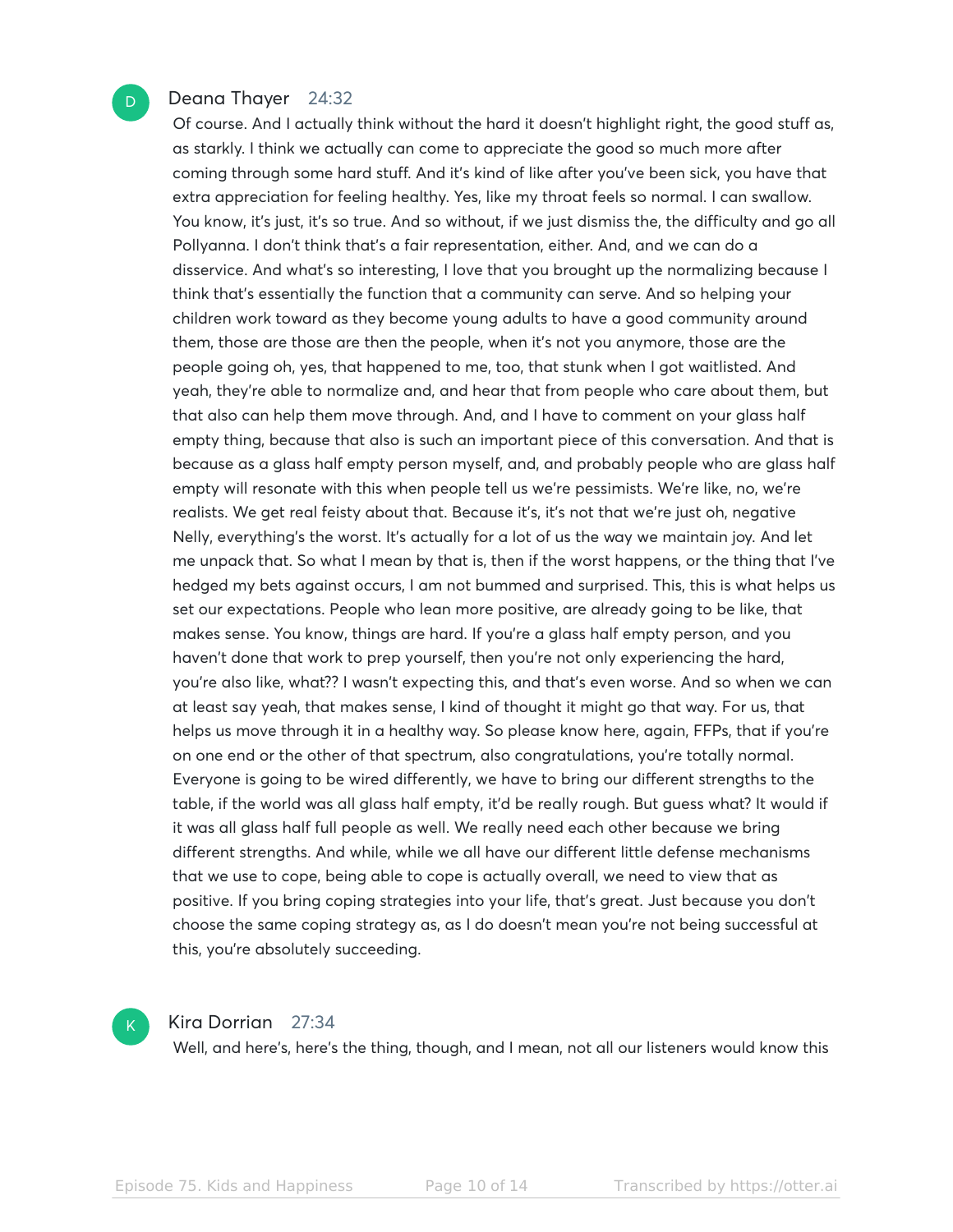#### Deana Thayer 24:32

D

Of course. And I actually think without the hard it doesn't highlight right, the good stuff as, as starkly. I think we actually can come to appreciate the good so much more after coming through some hard stuff. And it's kind of like after you've been sick, you have that extra appreciation for feeling healthy. Yes, like my throat feels so normal. I can swallow. You know, it's just, it's so true. And so without, if we just dismiss the, the difficulty and go all Pollyanna. I don't think that's a fair representation, either. And, and we can do a disservice. And what's so interesting, I love that you brought up the normalizing because I think that's essentially the function that a community can serve. And so helping your children work toward as they become young adults to have a good community around them, those are those are then the people, when it's not you anymore, those are the people going oh, yes, that happened to me, too, that stunk when I got waitlisted. And yeah, they're able to normalize and, and hear that from people who care about them, but that also can help them move through. And, and I have to comment on your glass half empty thing, because that also is such an important piece of this conversation. And that is because as a glass half empty person myself, and, and probably people who are glass half empty will resonate with this when people tell us we're pessimists. We're like, no, we're realists. We get real feisty about that. Because it's, it's not that we're just oh, negative Nelly, everything's the worst. It's actually for a lot of us the way we maintain joy. And let me unpack that. So what I mean by that is, then if the worst happens, or the thing that I've hedged my bets against occurs, I am not bummed and surprised. This, this is what helps us set our expectations. People who lean more positive, are already going to be like, that makes sense. You know, things are hard. If you're a glass half empty person, and you haven't done that work to prep yourself, then you're not only experiencing the hard, you're also like, what?? I wasn't expecting this, and that's even worse. And so when we can at least say yeah, that makes sense, I kind of thought it might go that way. For us, that helps us move through it in a healthy way. So please know here, again, FFPs, that if you're on one end or the other of that spectrum, also congratulations, you're totally normal. Everyone is going to be wired differently, we have to bring our different strengths to the table, if the world was all glass half empty, it'd be really rough. But guess what? It would if it was all glass half full people as well. We really need each other because we bring different strengths. And while, while we all have our different little defense mechanisms that we use to cope, being able to cope is actually overall, we need to view that as positive. If you bring coping strategies into your life, that's great. Just because you don't choose the same coping strategy as, as I do doesn't mean you're not being successful at this, you're absolutely succeeding.



#### Kira Dorrian 27:34

Well, and here's, here's the thing, though, and I mean, not all our listeners would know this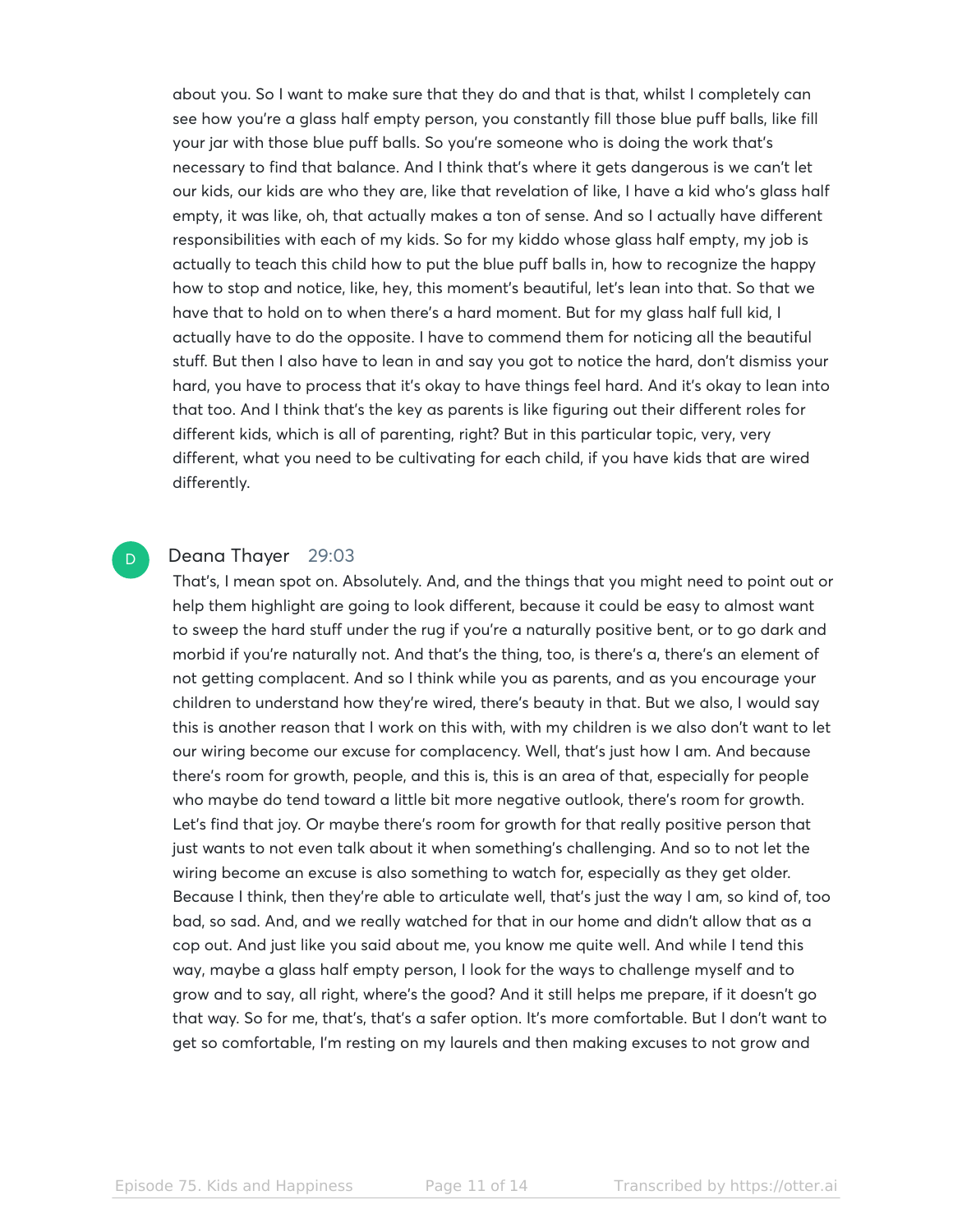about you. So I want to make sure that they do and that is that, whilst I completely can see how you're a glass half empty person, you constantly fill those blue puff balls, like fill your jar with those blue puff balls. So you're someone who is doing the work that's necessary to find that balance. And I think that's where it gets dangerous is we can't let our kids, our kids are who they are, like that revelation of like, I have a kid who's glass half empty, it was like, oh, that actually makes a ton of sense. And so I actually have different responsibilities with each of my kids. So for my kiddo whose glass half empty, my job is actually to teach this child how to put the blue puff balls in, how to recognize the happy how to stop and notice, like, hey, this moment's beautiful, let's lean into that. So that we have that to hold on to when there's a hard moment. But for my glass half full kid, I actually have to do the opposite. I have to commend them for noticing all the beautiful stuff. But then I also have to lean in and say you got to notice the hard, don't dismiss your hard, you have to process that it's okay to have things feel hard. And it's okay to lean into that too. And I think that's the key as parents is like figuring out their different roles for different kids, which is all of parenting, right? But in this particular topic, very, very different, what you need to be cultivating for each child, if you have kids that are wired differently.

#### Deana Thayer 29:03

D

That's, I mean spot on. Absolutely. And, and the things that you might need to point out or help them highlight are going to look different, because it could be easy to almost want to sweep the hard stuff under the rug if you're a naturally positive bent, or to go dark and morbid if you're naturally not. And that's the thing, too, is there's a, there's an element of not getting complacent. And so I think while you as parents, and as you encourage your children to understand how they're wired, there's beauty in that. But we also, I would say this is another reason that I work on this with, with my children is we also don't want to let our wiring become our excuse for complacency. Well, that's just how I am. And because there's room for growth, people, and this is, this is an area of that, especially for people who maybe do tend toward a little bit more negative outlook, there's room for growth. Let's find that joy. Or maybe there's room for growth for that really positive person that just wants to not even talk about it when something's challenging. And so to not let the wiring become an excuse is also something to watch for, especially as they get older. Because I think, then they're able to articulate well, that's just the way I am, so kind of, too bad, so sad. And, and we really watched for that in our home and didn't allow that as a cop out. And just like you said about me, you know me quite well. And while I tend this way, maybe a glass half empty person, I look for the ways to challenge myself and to grow and to say, all right, where's the good? And it still helps me prepare, if it doesn't go that way. So for me, that's, that's a safer option. It's more comfortable. But I don't want to get so comfortable, I'm resting on my laurels and then making excuses to not grow and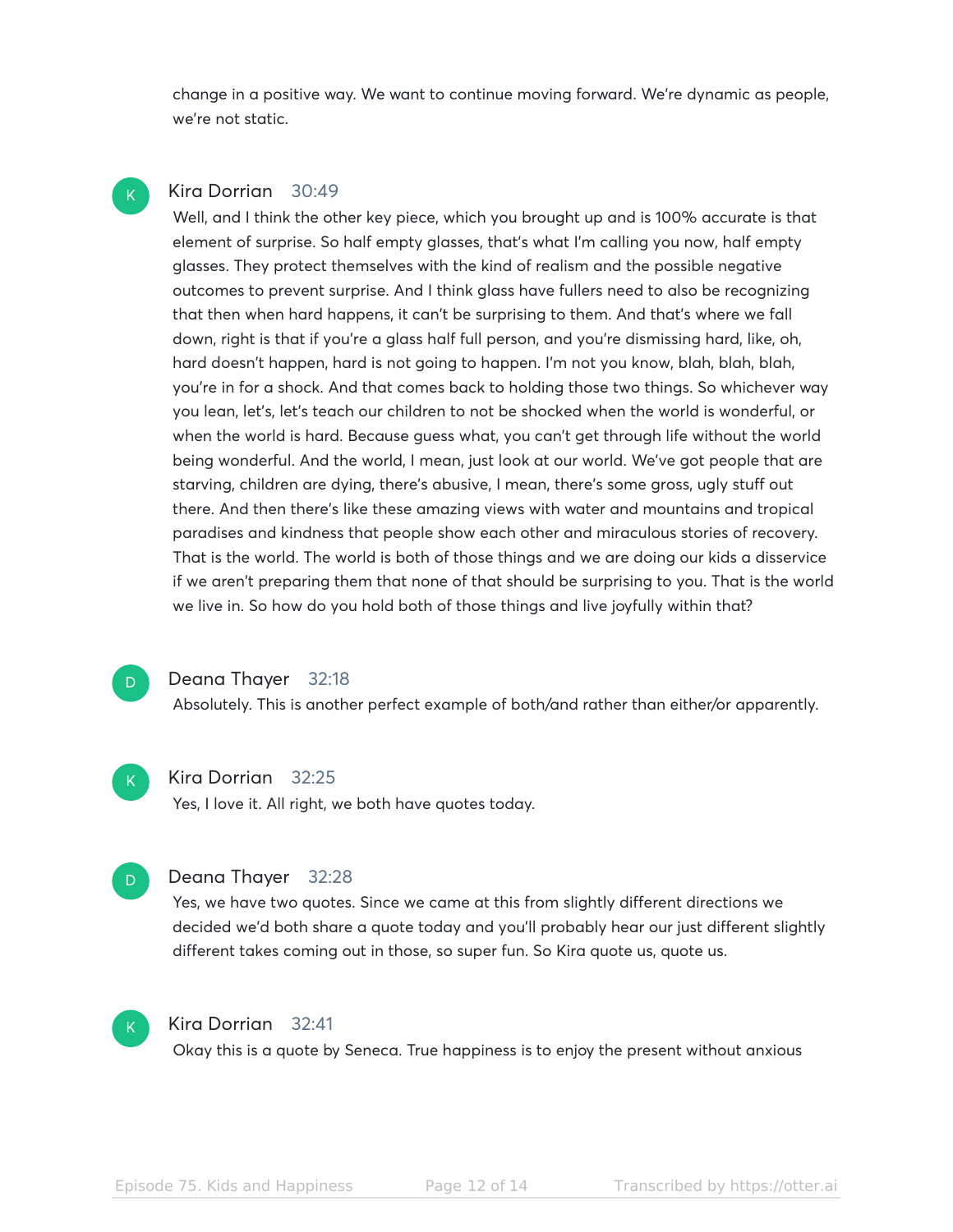change in a positive way. We want to continue moving forward. We're dynamic as people, we're not static.

#### Kira Dorrian 30:49

 $\mathsf{K}_{\scriptscriptstyle{+}}$ 

Well, and I think the other key piece, which you brought up and is 100% accurate is that element of surprise. So half empty glasses, that's what I'm calling you now, half empty glasses. They protect themselves with the kind of realism and the possible negative outcomes to prevent surprise. And I think glass have fullers need to also be recognizing that then when hard happens, it can't be surprising to them. And that's where we fall down, right is that if you're a glass half full person, and you're dismissing hard, like, oh, hard doesn't happen, hard is not going to happen. I'm not you know, blah, blah, blah, you're in for a shock. And that comes back to holding those two things. So whichever way you lean, let's, let's teach our children to not be shocked when the world is wonderful, or when the world is hard. Because guess what, you can't get through life without the world being wonderful. And the world, I mean, just look at our world. We've got people that are starving, children are dying, there's abusive, I mean, there's some gross, ugly stuff out there. And then there's like these amazing views with water and mountains and tropical paradises and kindness that people show each other and miraculous stories of recovery. That is the world. The world is both of those things and we are doing our kids a disservice if we aren't preparing them that none of that should be surprising to you. That is the world we live in. So how do you hold both of those things and live joyfully within that?

#### Deana Thayer 32:18

Absolutely. This is another perfect example of both/and rather than either/or apparently.

## $\mathsf{K}_{\scriptscriptstyle{+}}$

D.

Kira Dorrian 32:25

Yes, I love it. All right, we both have quotes today.



#### Deana Thayer 32:28

Yes, we have two quotes. Since we came at this from slightly different directions we decided we'd both share a quote today and you'll probably hear our just different slightly different takes coming out in those, so super fun. So Kira quote us, quote us.



#### Kira Dorrian 32:41

Okay this is a quote by Seneca. True happiness is to enjoy the present without anxious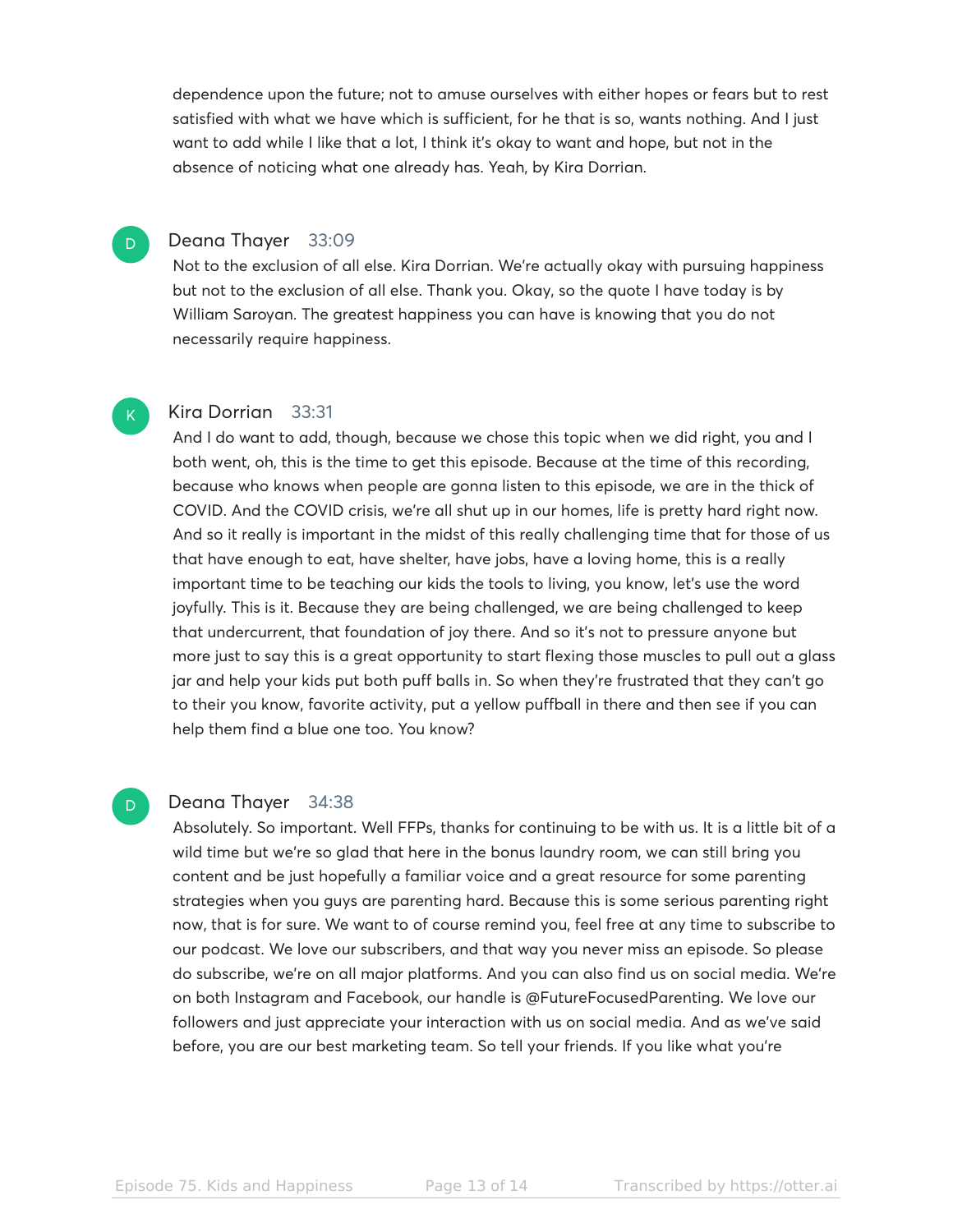dependence upon the future; not to amuse ourselves with either hopes or fears but to rest satisfied with what we have which is sufficient, for he that is so, wants nothing. And I just want to add while I like that a lot, I think it's okay to want and hope, but not in the absence of noticing what one already has. Yeah, by Kira Dorrian.

#### Deana Thayer 33:09

Not to the exclusion of all else. Kira Dorrian. We're actually okay with pursuing happiness but not to the exclusion of all else. Thank you. Okay, so the quote I have today is by William Saroyan. The greatest happiness you can have is knowing that you do not necessarily require happiness.

#### Kira Dorrian 33:31

And I do want to add, though, because we chose this topic when we did right, you and I both went, oh, this is the time to get this episode. Because at the time of this recording, because who knows when people are gonna listen to this episode, we are in the thick of COVID. And the COVID crisis, we're all shut up in our homes, life is pretty hard right now. And so it really is important in the midst of this really challenging time that for those of us that have enough to eat, have shelter, have jobs, have a loving home, this is a really important time to be teaching our kids the tools to living, you know, let's use the word joyfully. This is it. Because they are being challenged, we are being challenged to keep that undercurrent, that foundation of joy there. And so it's not to pressure anyone but more just to say this is a great opportunity to start flexing those muscles to pull out a glass jar and help your kids put both puff balls in. So when they're frustrated that they can't go to their you know, favorite activity, put a yellow puffball in there and then see if you can help them find a blue one too. You know?

#### Deana Thayer 34:38

Absolutely. So important. Well FFPs, thanks for continuing to be with us. It is a little bit of a wild time but we're so glad that here in the bonus laundry room, we can still bring you content and be just hopefully a familiar voice and a great resource for some parenting strategies when you guys are parenting hard. Because this is some serious parenting right now, that is for sure. We want to of course remind you, feel free at any time to subscribe to our podcast. We love our subscribers, and that way you never miss an episode. So please do subscribe, we're on all major platforms. And you can also find us on social media. We're on both Instagram and Facebook, our handle is @FutureFocusedParenting. We love our followers and just appreciate your interaction with us on social media. And as we've said before, you are our best marketing team. So tell your friends. If you like what you're

D.

 $\mathsf{K}_{\scriptscriptstyle{+}}$